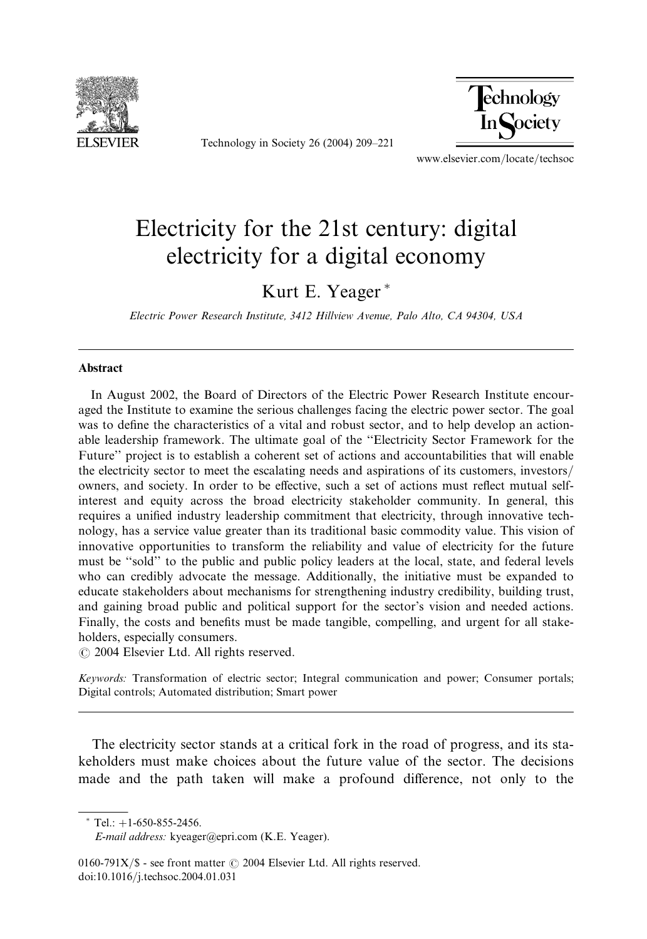

Technology in Society 26 (2004) 209–221



www.elsevier.com/locate/techsoc

# Electricity for the 21st century: digital electricity for a digital economy

Kurt E. Yeager

Electric Power Research Institute, 3412 Hillview Avenue, Palo Alto, CA 94304, USA

#### Abstract

In August 2002, the Board of Directors of the Electric Power Research Institute encouraged the Institute to examine the serious challenges facing the electric power sector. The goal was to define the characteristics of a vital and robust sector, and to help develop an actionable leadership framework. The ultimate goal of the ''Electricity Sector Framework for the Future'' project is to establish a coherent set of actions and accountabilities that will enable the electricity sector to meet the escalating needs and aspirations of its customers, investors/ owners, and society. In order to be effective, such a set of actions must reflect mutual selfinterest and equity across the broad electricity stakeholder community. In general, this requires a unified industry leadership commitment that electricity, through innovative technology, has a service value greater than its traditional basic commodity value. This vision of innovative opportunities to transform the reliability and value of electricity for the future must be ''sold'' to the public and public policy leaders at the local, state, and federal levels who can credibly advocate the message. Additionally, the initiative must be expanded to educate stakeholders about mechanisms for strengthening industry credibility, building trust, and gaining broad public and political support for the sector's vision and needed actions. Finally, the costs and benefits must be made tangible, compelling, and urgent for all stakeholders, especially consumers.

 $\odot$  2004 Elsevier Ltd. All rights reserved.

Keywords: Transformation of electric sector; Integral communication and power; Consumer portals; Digital controls; Automated distribution; Smart power

The electricity sector stands at a critical fork in the road of progress, and its stakeholders must make choices about the future value of the sector. The decisions made and the path taken will make a profound difference, not only to the

 $*$  Tel.:  $+1-650-855-2456$ .

E-mail address: kyeager@epri.com (K.E. Yeager).

<sup>0160-791</sup>X/ $\$  - see front matter  $\circ$  2004 Elsevier Ltd. All rights reserved. doi:10.1016/j.techsoc.2004.01.031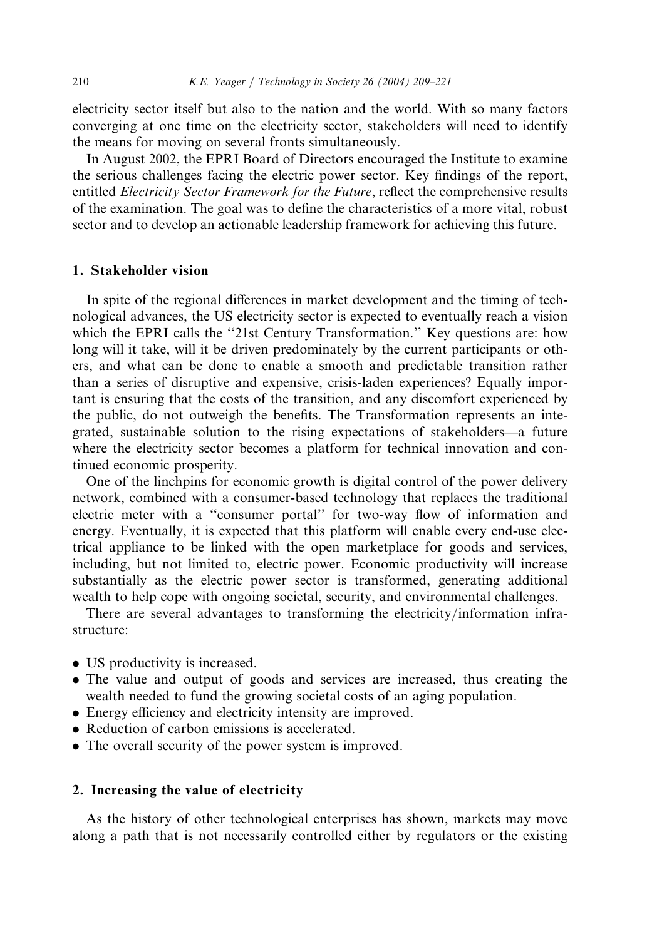electricity sector itself but also to the nation and the world. With so many factors converging at one time on the electricity sector, stakeholders will need to identify the means for moving on several fronts simultaneously.

In August 2002, the EPRI Board of Directors encouraged the Institute to examine the serious challenges facing the electric power sector. Key findings of the report, entitled Electricity Sector Framework for the Future, reflect the comprehensive results of the examination. The goal was to define the characteristics of a more vital, robust sector and to develop an actionable leadership framework for achieving this future.

### 1. Stakeholder vision

In spite of the regional differences in market development and the timing of technological advances, the US electricity sector is expected to eventually reach a vision which the EPRI calls the "21st Century Transformation." Key questions are: how long will it take, will it be driven predominately by the current participants or others, and what can be done to enable a smooth and predictable transition rather than a series of disruptive and expensive, crisis-laden experiences? Equally important is ensuring that the costs of the transition, and any discomfort experienced by the public, do not outweigh the benefits. The Transformation represents an integrated, sustainable solution to the rising expectations of stakeholders—a future where the electricity sector becomes a platform for technical innovation and continued economic prosperity.

One of the linchpins for economic growth is digital control of the power delivery network, combined with a consumer-based technology that replaces the traditional electric meter with a ''consumer portal'' for two-way flow of information and energy. Eventually, it is expected that this platform will enable every end-use electrical appliance to be linked with the open marketplace for goods and services, including, but not limited to, electric power. Economic productivity will increase substantially as the electric power sector is transformed, generating additional wealth to help cope with ongoing societal, security, and environmental challenges.

There are several advantages to transforming the electricity/information infrastructure:

- . US productivity is increased.
- . The value and output of goods and services are increased, thus creating the wealth needed to fund the growing societal costs of an aging population.
- . Energy efficiency and electricity intensity are improved.
- . Reduction of carbon emissions is accelerated.
- . The overall security of the power system is improved.

### 2. Increasing the value of electricity

As the history of other technological enterprises has shown, markets may move along a path that is not necessarily controlled either by regulators or the existing